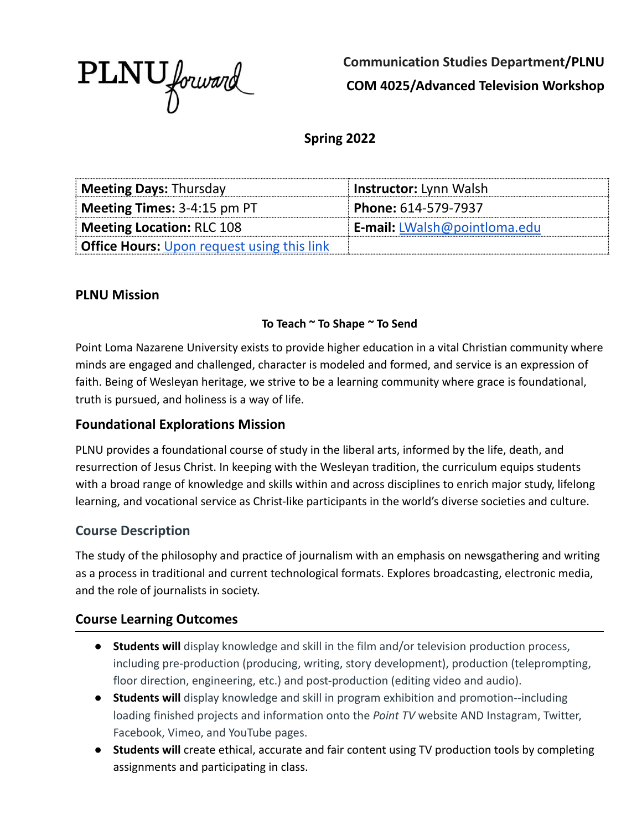

**Communication Studies Department/PLNU COM 4025/Advanced Television Workshop**

**Spring 2022**

| <b>Meeting Days: Thursday</b>                     | Instructor: Lynn Walsh              |
|---------------------------------------------------|-------------------------------------|
| <b>Meeting Times:</b> $3-4:15$ pm PT              | Phone: 614-579-7937                 |
| Meeting Location: RLC 108                         | <b>E-mail:</b> LWalsh@pointloma.edu |
| <b>Office Hours:</b> Upon request using this link |                                     |

#### **PLNU Mission**

#### **To Teach ~ To Shape ~ To Send**

Point Loma Nazarene University exists to provide higher education in a vital Christian community where minds are engaged and challenged, character is modeled and formed, and service is an expression of faith. Being of Wesleyan heritage, we strive to be a learning community where grace is foundational, truth is pursued, and holiness is a way of life.

### **Foundational Explorations Mission**

PLNU provides a foundational course of study in the liberal arts, informed by the life, death, and resurrection of Jesus Christ. In keeping with the Wesleyan tradition, the curriculum equips students with a broad range of knowledge and skills within and across disciplines to enrich major study, lifelong learning, and vocational service as Christ-like participants in the world's diverse societies and culture.

#### **Course Description**

The study of the philosophy and practice of journalism with an emphasis on newsgathering and writing as a process in traditional and current technological formats. Explores broadcasting, electronic media, and the role of journalists in society.

### **Course Learning Outcomes**

- **Students will** display knowledge and skill in the film and/or television production process, including pre-production (producing, writing, story development), production (teleprompting, floor direction, engineering, etc.) and post-production (editing video and audio).
- **● Students will** display knowledge and skill in program exhibition and promotion--including loading finished projects and information onto the *Point TV* website AND Instagram, Twitter, Facebook, Vimeo, and YouTube pages.
- **● Students will** create ethical, accurate and fair content using TV production tools by completing assignments and participating in class.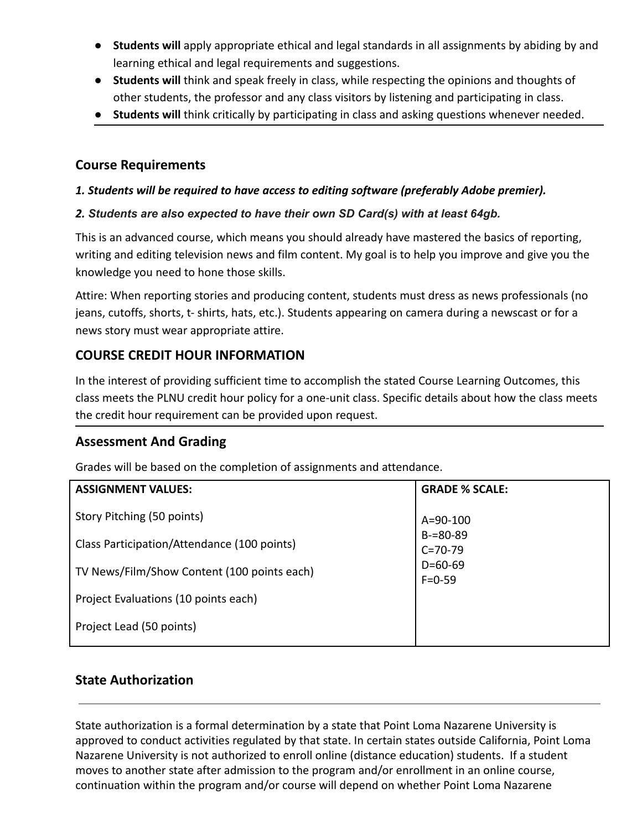- **Students will** apply appropriate ethical and legal standards in all assignments by abiding by and learning ethical and legal requirements and suggestions.
- **Students will** think and speak freely in class, while respecting the opinions and thoughts of other students, the professor and any class visitors by listening and participating in class.
- **Students will** think critically by participating in class and asking questions whenever needed.

### **Course Requirements**

#### *1. Students will be required to have access to editing software (preferably Adobe premier).*

#### *2. Students are also expected to have their own SD Card(s) with at least 64gb.*

This is an advanced course, which means you should already have mastered the basics of reporting, writing and editing television news and film content. My goal is to help you improve and give you the knowledge you need to hone those skills.

Attire: When reporting stories and producing content, students must dress as news professionals (no jeans, cutoffs, shorts, t- shirts, hats, etc.). Students appearing on camera during a newscast or for a news story must wear appropriate attire.

## **COURSE CREDIT HOUR INFORMATION**

In the interest of providing sufficient time to accomplish the stated Course Learning Outcomes, this class meets the PLNU credit hour policy for a one-unit class. Specific details about how the class meets the credit hour requirement can be provided upon request.

### **Assessment And Grading**

Grades will be based on the completion of assignments and attendance.

| <b>ASSIGNMENT VALUES:</b>                   | <b>GRADE % SCALE:</b>                                                       |
|---------------------------------------------|-----------------------------------------------------------------------------|
| Story Pitching (50 points)                  | $A = 90 - 100$<br>$B = 80 - 89$<br>$C = 70 - 79$<br>$D=60-69$<br>$F = 0.59$ |
| Class Participation/Attendance (100 points) |                                                                             |
| TV News/Film/Show Content (100 points each) |                                                                             |
| Project Evaluations (10 points each)        |                                                                             |
| Project Lead (50 points)                    |                                                                             |

## **State Authorization**

State authorization is a formal determination by a state that Point Loma Nazarene University is approved to conduct activities regulated by that state. In certain states outside California, Point Loma Nazarene University is not authorized to enroll online (distance education) students. If a student moves to another state after admission to the program and/or enrollment in an online course, continuation within the program and/or course will depend on whether Point Loma Nazarene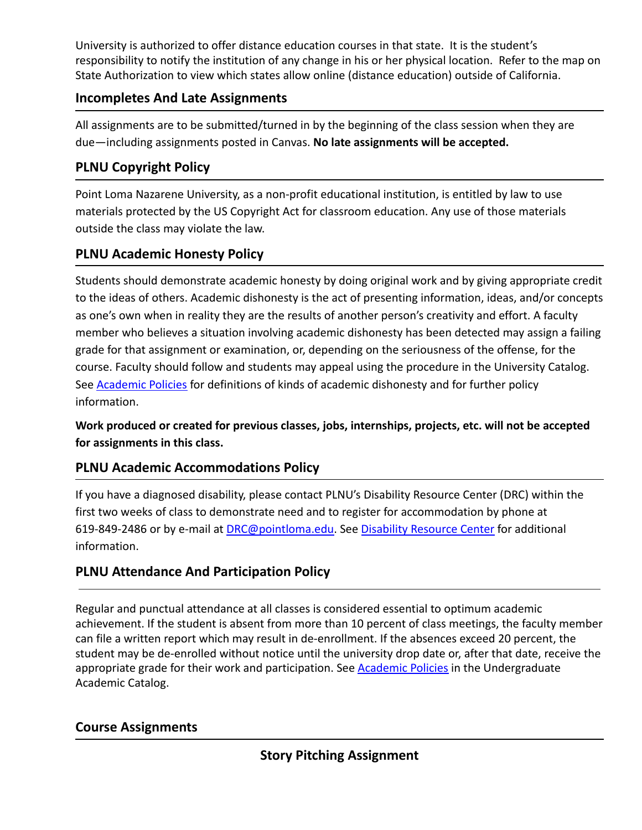University is authorized to offer distance education courses in that state. It is the student's responsibility to notify the institution of any change in his or her physical location. Refer to the map on State Authorization to view which states allow online (distance education) outside of California.

## **Incompletes And Late Assignments**

All assignments are to be submitted/turned in by the beginning of the class session when they are due—including assignments posted in Canvas. **No late assignments will be accepted.**

# **PLNU Copyright Policy**

Point Loma Nazarene University, as a non-profit educational institution, is entitled by law to use materials protected by the US Copyright Act for classroom education. Any use of those materials outside the class may violate the law.

# **PLNU Academic Honesty Policy**

Students should demonstrate academic honesty by doing original work and by giving appropriate credit to the ideas of others. Academic dishonesty is the act of presenting information, ideas, and/or concepts as one's own when in reality they are the results of another person's creativity and effort. A faculty member who believes a situation involving academic dishonesty has been detected may assign a failing grade for that assignment or examination, or, depending on the seriousness of the offense, for the course. Faculty should follow and students may appeal using the procedure in the University Catalog. See [Academic Policies](http://catalog.pointloma.edu/content.php?catoid=18&navoid=1278) for definitions of kinds of academic dishonesty and for further policy information.

**Work produced or created for previous classes, jobs, internships, projects, etc. will not be accepted for assignments in this class.**

## **PLNU Academic Accommodations Policy**

If you have a diagnosed disability, please contact PLNU's Disability Resource Center (DRC) within the first two weeks of class to demonstrate need and to register for accommodation by phone at 619-849-2486 or by e-mail at [DRC@pointloma.edu.](mailto:DRC@pointloma.edu) See [Disability Resource Center](http://www.pointloma.edu/experience/offices/administrative-offices/academic-advising-office/disability-resource-center) for additional information.

# **PLNU Attendance And Participation Policy**

Regular and punctual attendance at all classes is considered essential to optimum academic achievement. If the student is absent from more than 10 percent of class meetings, the faculty member can file a written report which may result in de-enrollment. If the absences exceed 20 percent, the student may be de-enrolled without notice until the university drop date or, after that date, receive the appropriate grade for their work and participation. See **[Academic Policies](http://catalog.pointloma.edu/content.php?catoid=18&navoid=1278)** in the Undergraduate Academic Catalog.

# **Course Assignments**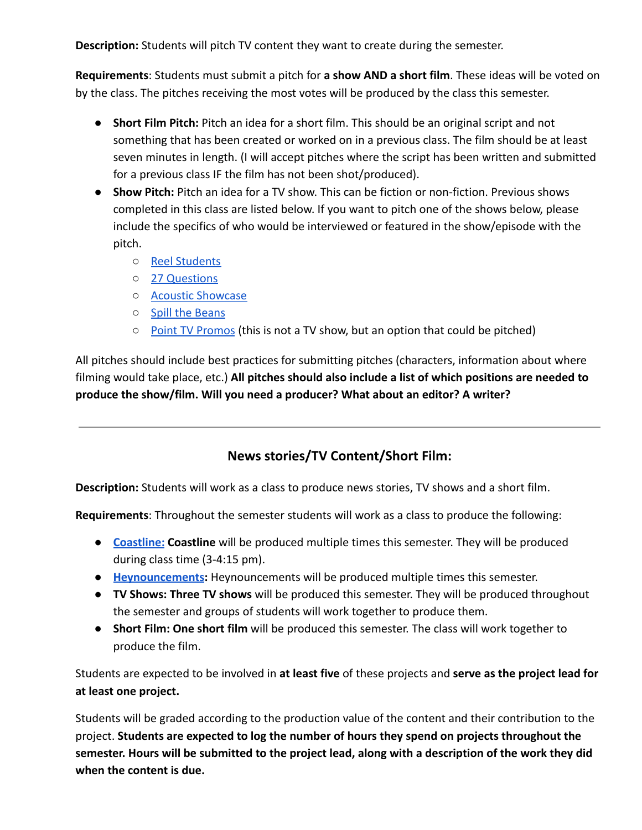**Description:** Students will pitch TV content they want to create during the semester.

**Requirements**: Students must submit a pitch for **a show AND a short film**. These ideas will be voted on by the class. The pitches receiving the most votes will be produced by the class this semester.

- **Short Film Pitch:** Pitch an idea for a short film. This should be an original script and not something that has been created or worked on in a previous class. The film should be at least seven minutes in length. (I will accept pitches where the script has been written and submitted for a previous class IF the film has not been shot/produced).
- **● Show Pitch:** Pitch an idea for a TV show. This can be fiction or non-fiction. Previous shows completed in this class are listed below. If you want to pitch one of the shows below, please include the specifics of who would be interviewed or featured in the show/episode with the pitch.
	- [Reel Students](https://www.youtube.com/playlist?list=PLWzAACvpIghfBA1_4mOQHEqZeW-shpMR1)
	- [27 Questions](https://www.youtube.com/playlist?list=PLWzAACvpIgheHIn2Cln25OfvgK_5U3jEr)
	- [Acoustic Showcase](https://www.youtube.com/playlist?list=PLWzAACvpIghfaoYGPCPJ0XN9Fvkr5B-Ob)
	- [Spill the Beans](https://www.youtube.com/playlist?list=PLWzAACvpIghf9BPIMWFn1-FLDp2C4zCnx)
	- [Point TV Promos](https://www.youtube.com/playlist?list=PLWzAACvpIghcQdY05o9bvj9w3k_xCK-p_) (this is not a TV show, but an option that could be pitched)

All pitches should include best practices for submitting pitches (characters, information about where filming would take place, etc.) **All pitches should also include a list of which positions are needed to produce the show/film. Will you need a producer? What about an editor? A writer?**

## **News stories/TV Content/Short Film:**

**Description:** Students will work as a class to produce news stories, TV shows and a short film.

**Requirements**: Throughout the semester students will work as a class to produce the following:

- **● [Coastline:](https://www.youtube.com/playlist?list=PLWzAACvpIghegtH5D9cadQjMJCflbM2CE) Coastline** will be produced multiple times this semester. They will be produced during class time (3-4:15 pm).
- **● [Heynouncements](https://www.youtube.com/playlist?list=PLWzAACvpIghfBgHJJUCp06xG9308T6K9q):** Heynouncements will be produced multiple times this semester.
- **● TV Shows: Three TV shows** will be produced this semester. They will be produced throughout the semester and groups of students will work together to produce them.
- **● Short Film: One short film** will be produced this semester. The class will work together to produce the film.

Students are expected to be involved in **at least five** of these projects and **serve as the project lead for at least one project.**

Students will be graded according to the production value of the content and their contribution to the project. **Students are expected to log the number of hours they spend on projects throughout the semester. Hours will be submitted to the project lead, along with a description of the work they did when the content is due.**